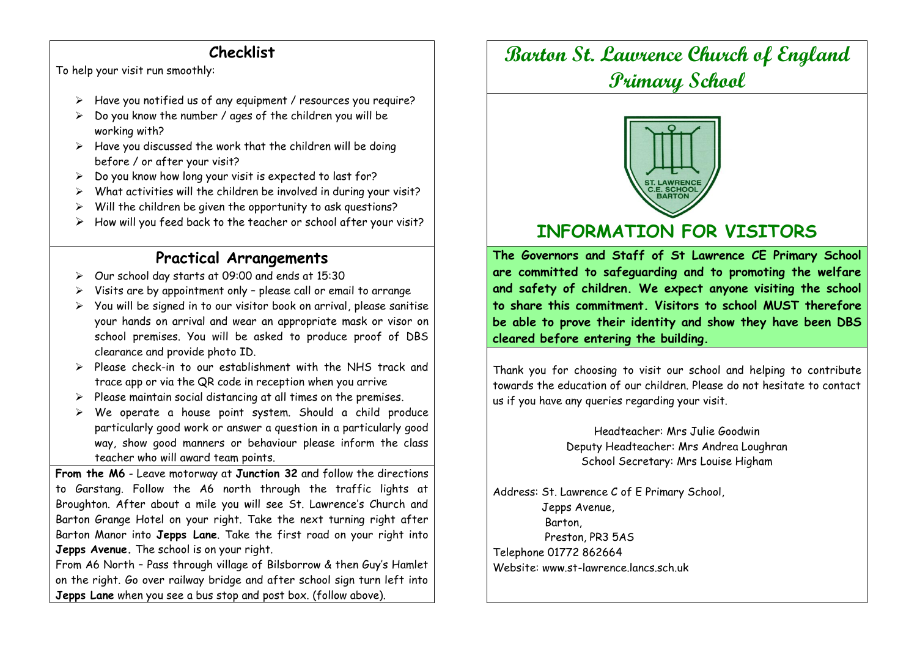## **Checklist**

To help your visit run smoothly:

- $\triangleright$  Have you notified us of any equipment / resources you require?
- $\geq$  Do you know the number / ages of the children you will be working with?
- $\triangleright$  Have you discussed the work that the children will be doing before / or after your visit?
- $\geq$  Do you know how long your visit is expected to last for?
- $\triangleright$  What activities will the children be involved in during your visit?
- $\triangleright$  Will the children be given the opportunity to ask questions?
- $\triangleright$  How will you feed back to the teacher or school after your visit?

## **Practical Arrangements**

- Our school day starts at 09:00 and ends at 15:30
- Visits are by appointment only please call or email to arrange
- $\triangleright$  You will be signed in to our visitor book on arrival, please sanitise your hands on arrival and wear an appropriate mask or visor on school premises. You will be asked to produce proof of DBS clearance and provide photo ID.
- Please check-in to our establishment with the NHS track and trace app or via the QR code in reception when you arrive
- $\triangleright$  Please maintain social distancing at all times on the premises.
- $\triangleright$  We operate a house point system. Should a child produce particularly good work or answer a question in a particularly good way, show good manners or behaviour please inform the class teacher who will award team points.

**From the M6** - Leave motorway at **Junction 32** and follow the directions to Garstang. Follow the A6 north through the traffic lights at Broughton. After about a mile you will see St. Lawrence's Church and Barton Grange Hotel on your right. Take the next turning right after Barton Manor into **Jepps Lane**. Take the first road on your right into **Jepps Avenue.** The school is on your right.

From A6 North – Pass through village of Bilsborrow & then Guy's Hamlet on the right. Go over railway bridge and after school sign turn left into **Jepps Lane** when you see a bus stop and post box. (follow above).

## **Barton St. Lawrence Church of England Primary School**



## **INFORMATION FOR VISITORS**

**The Governors and Staff of St Lawrence CE Primary School are committed to safeguarding and to promoting the welfare and safety of children. We expect anyone visiting the school to share this commitment. Visitors to school MUST therefore be able to prove their identity and show they have been DBS cleared before entering the building.** 

Thank you for choosing to visit our school and helping to contribute towards the education of our children. Please do not hesitate to contact us if you have any queries regarding your visit.

> Headteacher: Mrs Julie Goodwin Deputy Headteacher: Mrs Andrea Loughran School Secretary: Mrs Louise Higham

Address: St. Lawrence C of E Primary School, Jepps Avenue, Barton, Preston, PR3 5AS Telephone 01772 862664 Website: www.st-lawrence.lancs.sch.uk